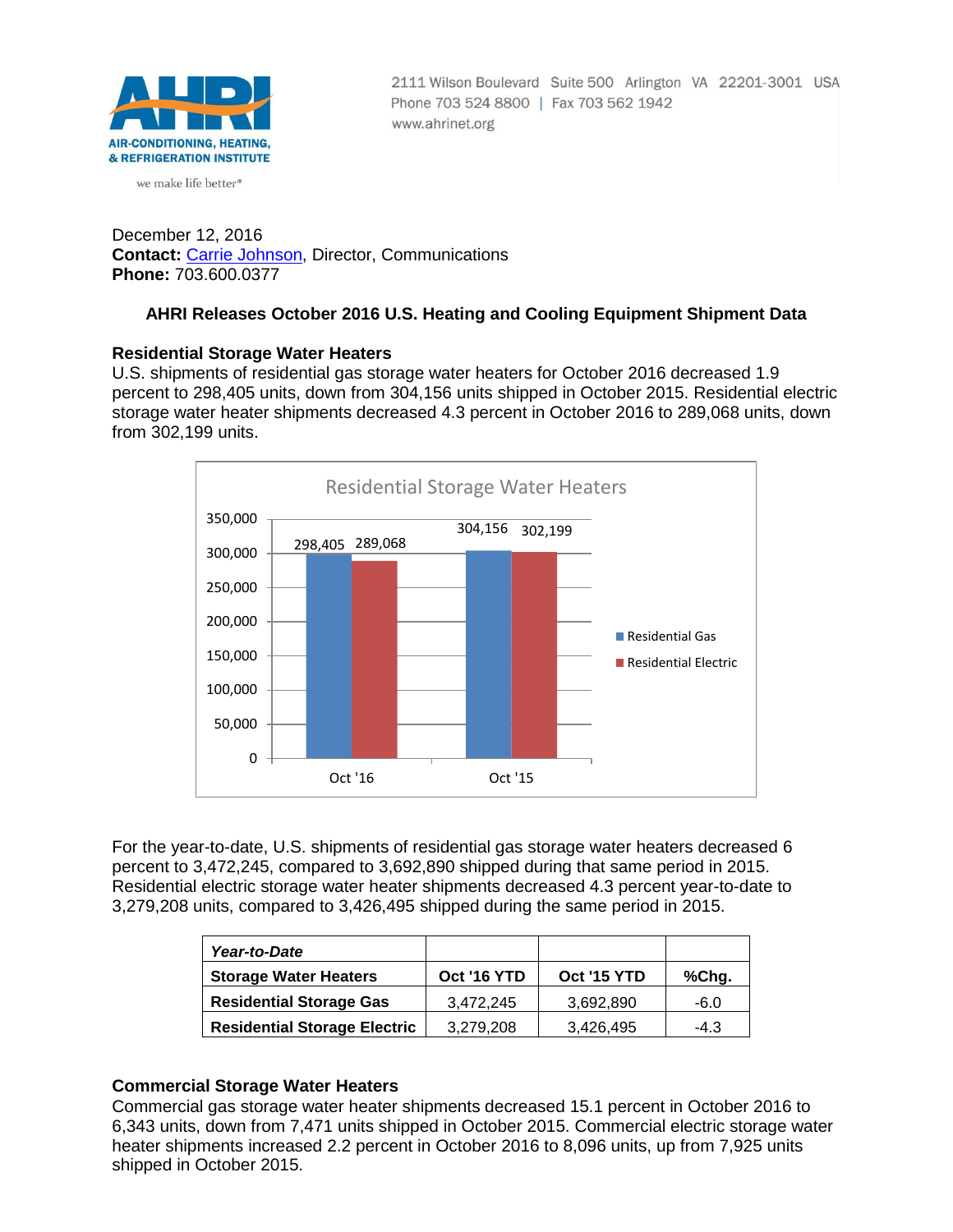

we make life better<sup>®</sup>

2111 Wilson Boulevard Suite 500 Arlington VA 22201-3001 USA Phone 703 524 8800 | Fax 703 562 1942 www.ahrinet.org

December 12, 2016 **Contact:** [Carrie Johnson,](mailto:cjohnson@ahrinet.org) Director, Communications **Phone:** 703.600.0377

# **AHRI Releases October 2016 U.S. Heating and Cooling Equipment Shipment Data**

#### **Residential Storage Water Heaters**

U.S. shipments of residential gas storage water heaters for October 2016 decreased 1.9 percent to 298,405 units, down from 304,156 units shipped in October 2015. Residential electric storage water heater shipments decreased 4.3 percent in October 2016 to 289,068 units, down from 302,199 units.



For the year-to-date, U.S. shipments of residential gas storage water heaters decreased 6 percent to 3,472,245, compared to 3,692,890 shipped during that same period in 2015. Residential electric storage water heater shipments decreased 4.3 percent year-to-date to 3,279,208 units, compared to 3,426,495 shipped during the same period in 2015.

| Year-to-Date                        |             |             |        |
|-------------------------------------|-------------|-------------|--------|
| <b>Storage Water Heaters</b>        | Oct '16 YTD | Oct '15 YTD | %Chg.  |
| <b>Residential Storage Gas</b>      | 3.472.245   | 3,692,890   | $-6.0$ |
| <b>Residential Storage Electric</b> | 3.279.208   | 3,426,495   | $-4.3$ |

## **Commercial Storage Water Heaters**

Commercial gas storage water heater shipments decreased 15.1 percent in October 2016 to 6,343 units, down from 7,471 units shipped in October 2015. Commercial electric storage water heater shipments increased 2.2 percent in October 2016 to 8,096 units, up from 7,925 units shipped in October 2015.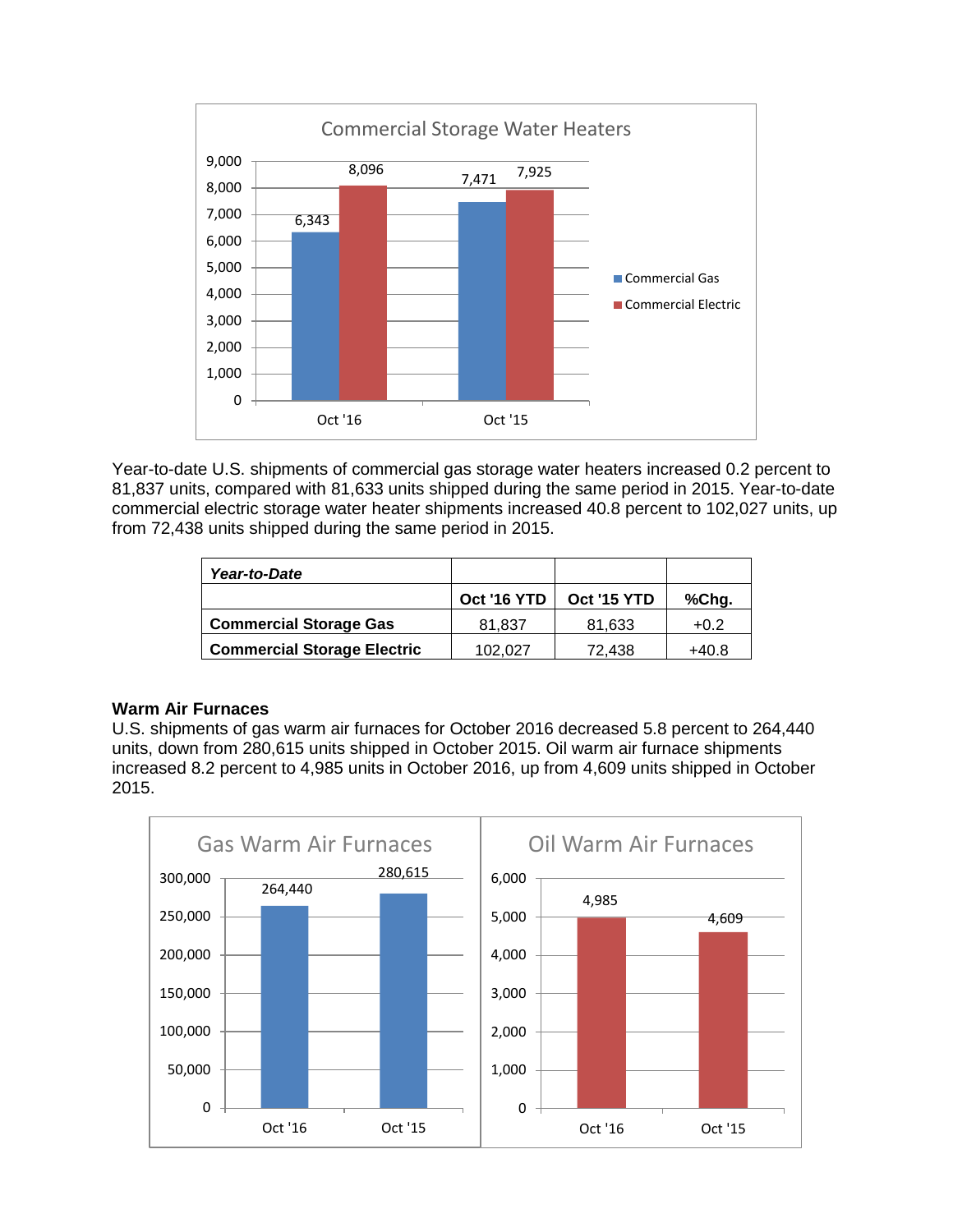

Year-to-date U.S. shipments of commercial gas storage water heaters increased 0.2 percent to 81,837 units, compared with 81,633 units shipped during the same period in 2015. Year-to-date commercial electric storage water heater shipments increased 40.8 percent to 102,027 units, up from 72,438 units shipped during the same period in 2015.

| Year-to-Date                       |             |             |        |
|------------------------------------|-------------|-------------|--------|
|                                    | Oct '16 YTD | Oct '15 YTD | %Chg.  |
| <b>Commercial Storage Gas</b>      | 81.837      | 81,633      | $+0.2$ |
| <b>Commercial Storage Electric</b> | 102,027     | 72,438      | +40.8  |

## **Warm Air Furnaces**

U.S. shipments of gas warm air furnaces for October 2016 decreased 5.8 percent to 264,440 units, down from 280,615 units shipped in October 2015. Oil warm air furnace shipments increased 8.2 percent to 4,985 units in October 2016, up from 4,609 units shipped in October 2015.

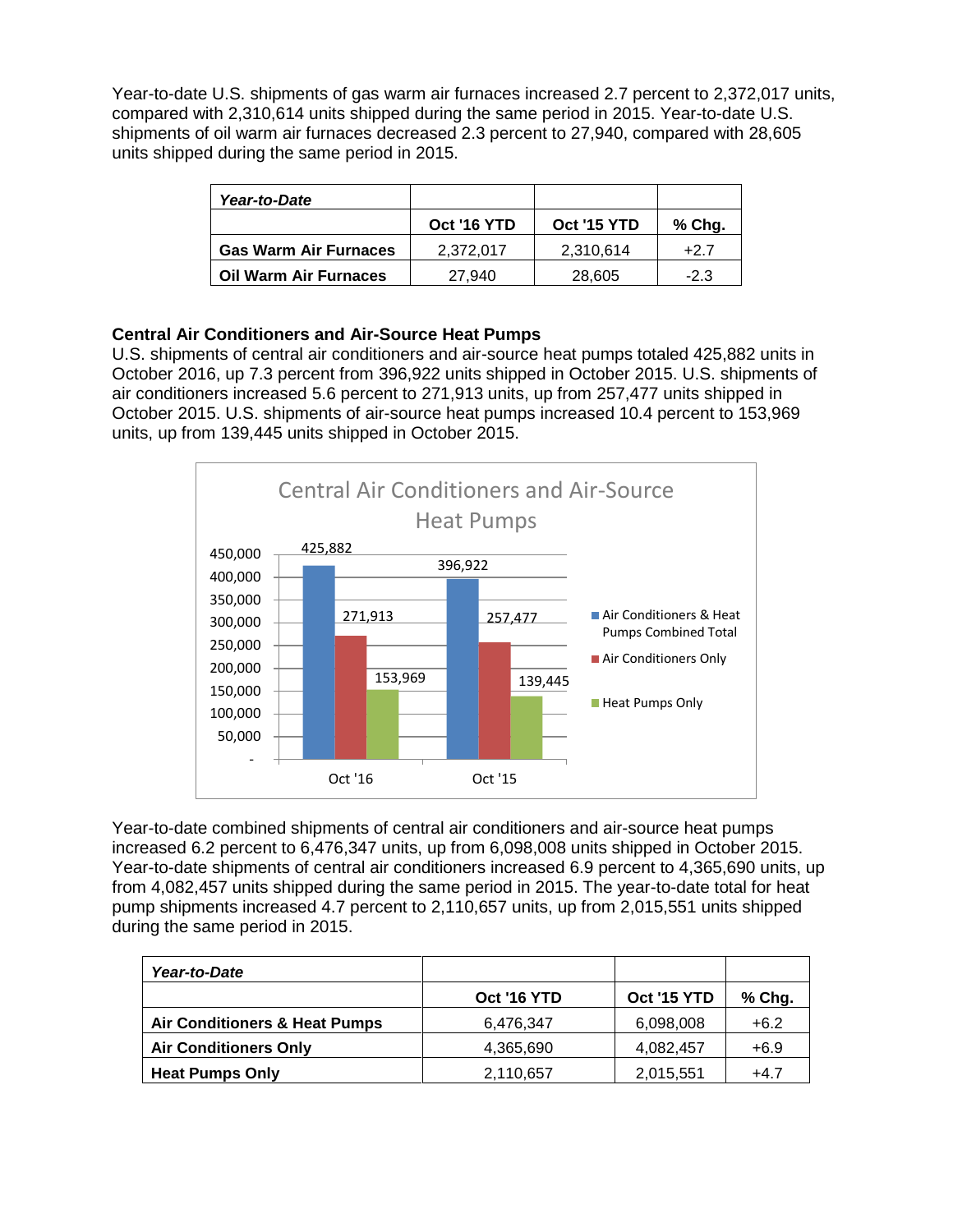Year-to-date U.S. shipments of gas warm air furnaces increased 2.7 percent to 2,372,017 units, compared with 2,310,614 units shipped during the same period in 2015. Year-to-date U.S. shipments of oil warm air furnaces decreased 2.3 percent to 27,940, compared with 28,605 units shipped during the same period in 2015.

| Year-to-Date                 |             |                    |        |
|------------------------------|-------------|--------------------|--------|
|                              | Oct '16 YTD | <b>Oct '15 YTD</b> | % Chg. |
| <b>Gas Warm Air Furnaces</b> | 2,372,017   | 2,310,614          | $+2.7$ |
| <b>Oil Warm Air Furnaces</b> | 27.940      | 28,605             | $-2.3$ |

## **Central Air Conditioners and Air-Source Heat Pumps**

U.S. shipments of central air conditioners and air-source heat pumps totaled 425,882 units in October 2016, up 7.3 percent from 396,922 units shipped in October 2015. U.S. shipments of air conditioners increased 5.6 percent to 271,913 units, up from 257,477 units shipped in October 2015. U.S. shipments of air-source heat pumps increased 10.4 percent to 153,969 units, up from 139,445 units shipped in October 2015.



Year-to-date combined shipments of central air conditioners and air-source heat pumps increased 6.2 percent to 6,476,347 units, up from 6,098,008 units shipped in October 2015. Year-to-date shipments of central air conditioners increased 6.9 percent to 4,365,690 units, up from 4,082,457 units shipped during the same period in 2015. The year-to-date total for heat pump shipments increased 4.7 percent to 2,110,657 units, up from 2,015,551 units shipped during the same period in 2015.

| Year-to-Date                             |             |             |        |
|------------------------------------------|-------------|-------------|--------|
|                                          | Oct '16 YTD | Oct '15 YTD | % Chg. |
| <b>Air Conditioners &amp; Heat Pumps</b> | 6,476,347   | 6,098,008   | $+6.2$ |
| <b>Air Conditioners Only</b>             | 4,365,690   | 4,082,457   | $+6.9$ |
| <b>Heat Pumps Only</b>                   | 2,110,657   | 2,015,551   | $+4.7$ |